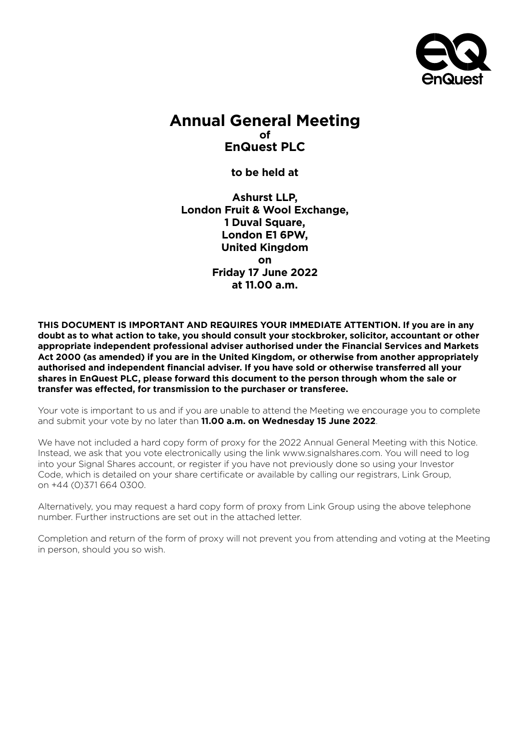

# **Annual General Meeting of EnQuest PLC**

**to be held at**

**Ashurst LLP, London Fruit & Wool Exchange, 1 Duval Square, London E1 6PW, United Kingdom on Friday 17 June 2022 at 11.00 a.m.**

**THIS DOCUMENT IS IMPORTANT AND REQUIRES YOUR IMMEDIATE ATTENTION. If you are in any doubt as to what action to take, you should consult your stockbroker, solicitor, accountant or other appropriate independent professional adviser authorised under the Financial Services and Markets Act 2000 (as amended) if you are in the United Kingdom, or otherwise from another appropriately authorised and independent financial adviser. If you have sold or otherwise transferred all your shares in EnQuest PLC, please forward this document to the person through whom the sale or transfer was effected, for transmission to the purchaser or transferee.**

Your vote is important to us and if you are unable to attend the Meeting we encourage you to complete and submit your vote by no later than **11.00 a.m. on Wednesday 15 June 2022**.

We have not included a hard copy form of proxy for the 2022 Annual General Meeting with this Notice. Instead, we ask that you vote electronically using the link www.signalshares.com. You will need to log into your Signal Shares account, or register if you have not previously done so using your Investor Code, which is detailed on your share certificate or available by calling our registrars, Link Group, on +44 (0)371 664 0300.

Alternatively, you may request a hard copy form of proxy from Link Group using the above telephone number. Further instructions are set out in the attached letter.

Completion and return of the form of proxy will not prevent you from attending and voting at the Meeting in person, should you so wish.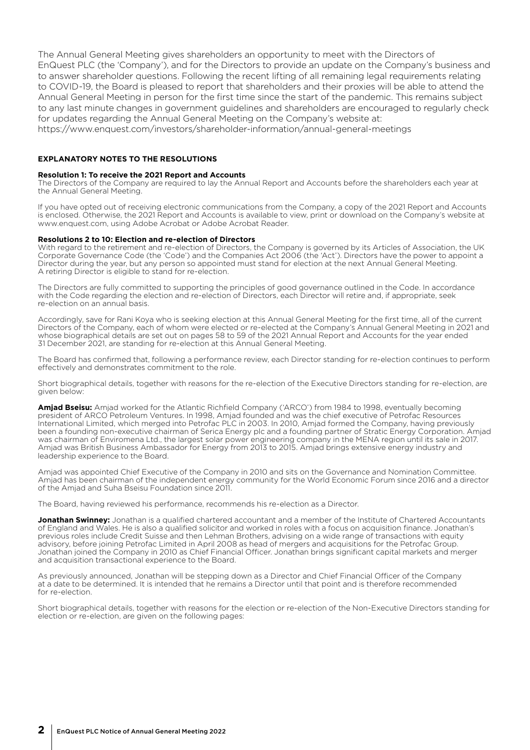The Annual General Meeting gives shareholders an opportunity to meet with the Directors of EnQuest PLC (the 'Company'), and for the Directors to provide an update on the Company's business and to answer shareholder questions. Following the recent lifting of all remaining legal requirements relating to COVID-19, the Board is pleased to report that shareholders and their proxies will be able to attend the Annual General Meeting in person for the first time since the start of the pandemic. This remains subject to any last minute changes in government guidelines and shareholders are encouraged to regularly check for updates regarding the Annual General Meeting on the Company's website at:

https://www.enquest.com/investors/shareholder-information/annual-general-meetings

## **EXPLANATORY NOTES TO THE RESOLUTIONS**

#### **Resolution 1: To receive the 2021 Report and Accounts**

The Directors of the Company are required to lay the Annual Report and Accounts before the shareholders each year at the Annual General Meeting.

If you have opted out of receiving electronic communications from the Company, a copy of the 2021 Report and Accounts is enclosed. Otherwise, the 2021 Report and Accounts is available to view, print or download on the Company's website at www.enquest.com, using Adobe Acrobat or Adobe Acrobat Reader.

#### **Resolutions 2 to 10: Election and re-election of Directors**

With regard to the retirement and re-election of Directors, the Company is governed by its Articles of Association, the UK Corporate Governance Code (the 'Code') and the Companies Act 2006 (the 'Act'). Directors have the power to appoint a Director during the year, but any person so appointed must stand for election at the next Annual General Meeting. A retiring Director is eligible to stand for re-election.

The Directors are fully committed to supporting the principles of good governance outlined in the Code. In accordance with the Code regarding the election and re-election of Directors, each Director will retire and, if appropriate, seek re-election on an annual basis.

Accordingly, save for Rani Koya who is seeking election at this Annual General Meeting for the first time, all of the current Directors of the Company, each of whom were elected or re-elected at the Company's Annual General Meeting in 2021 and whose biographical details are set out on pages 58 to 59 of the 2021 Annual Report and Accounts for the year ended 31 December 2021, are standing for re-election at this Annual General Meeting.

The Board has confirmed that, following a performance review, each Director standing for re-election continues to perform effectively and demonstrates commitment to the role.

Short biographical details, together with reasons for the re-election of the Executive Directors standing for re-election, are given below:

**Amjad Bseisu:** Amjad worked for the Atlantic Richfield Company ('ARCO') from 1984 to 1998, eventually becoming president of ARCO Petroleum Ventures. In 1998, Amjad founded and was the chief executive of Petrofac Resources International Limited, which merged into Petrofac PLC in 2003. In 2010, Amjad formed the Company, having previously been a founding non-executive chairman of Serica Energy plc and a founding partner of Stratic Energy Corporation. Amjad was chairman of Enviromena Ltd., the largest solar power engineering company in the MENA region until its sale in 2017. Amjad was British Business Ambassador for Energy from 2013 to 2015. Amjad brings extensive energy industry and leadership experience to the Board.

Amjad was appointed Chief Executive of the Company in 2010 and sits on the Governance and Nomination Committee. Amjad has been chairman of the independent energy community for the World Economic Forum since 2016 and a director of the Amjad and Suha Bseisu Foundation since 2011.

The Board, having reviewed his performance, recommends his re-election as a Director.

**Jonathan Swinney:** Jonathan is a qualified chartered accountant and a member of the Institute of Chartered Accountants of England and Wales. He is also a qualified solicitor and worked in roles with a focus on acquisition finance. Jonathan's previous roles include Credit Suisse and then Lehman Brothers, advising on a wide range of transactions with equity advisory, before joining Petrofac Limited in April 2008 as head of mergers and acquisitions for the Petrofac Group. Jonathan joined the Company in 2010 as Chief Financial Officer. Jonathan brings significant capital markets and merger and acquisition transactional experience to the Board.

As previously announced, Jonathan will be stepping down as a Director and Chief Financial Officer of the Company at a date to be determined. It is intended that he remains a Director until that point and is therefore recommended for re-election.

Short biographical details, together with reasons for the election or re-election of the Non-Executive Directors standing for election or re-election, are given on the following pages: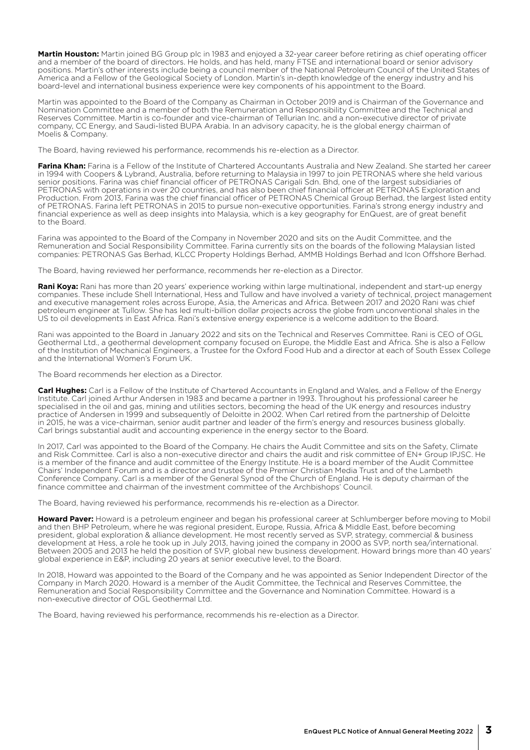**Martin Houston:** Martin joined BG Group plc in 1983 and enjoyed a 32-year career before retiring as chief operating officer and a member of the board of directors. He holds, and has held, many FTSE and international board or senior advisory positions. Martin's other interests include being a council member of the National Petroleum Council of the United States of America and a Fellow of the Geological Society of London. Martin's in-depth knowledge of the energy industry and his board-level and international business experience were key components of his appointment to the Board.

Martin was appointed to the Board of the Company as Chairman in October 2019 and is Chairman of the Governance and Nomination Committee and a member of both the Remuneration and Responsibility Committee and the Technical and Reserves Committee. Martin is co-founder and vice-chairman of Tellurian Inc. and a non-executive director of private company, CC Energy, and Saudi-listed BUPA Arabia. In an advisory capacity, he is the global energy chairman of Moelis & Company.

The Board, having reviewed his performance, recommends his re-election as a Director.

**Farina Khan:** Farina is a Fellow of the Institute of Chartered Accountants Australia and New Zealand. She started her career in 1994 with Coopers & Lybrand, Australia, before returning to Malaysia in 1997 to join PETRONAS where she held various senior positions. Farina was chief financial officer of PETRONAS Carigali Sdn. Bhd, one of the largest subsidiaries of PETRONAS with operations in over 20 countries, and has also been chief financial officer at PETRONAS Exploration and Production. From 2013, Farina was the chief financial officer of PETRONAS Chemical Group Berhad, the largest listed entity of PETRONAS. Farina left PETRONAS in 2015 to pursue non-executive opportunities. Farina's strong energy industry and financial experience as well as deep insights into Malaysia, which is a key geography for EnQuest, are of great benefit to the Board.

Farina was appointed to the Board of the Company in November 2020 and sits on the Audit Committee, and the Remuneration and Social Responsibility Committee. Farina currently sits on the boards of the following Malaysian listed companies: PETRONAS Gas Berhad, KLCC Property Holdings Berhad, AMMB Holdings Berhad and Icon Offshore Berhad.

The Board, having reviewed her performance, recommends her re-election as a Director.

**Rani Koya:** Rani has more than 20 years' experience working within large multinational, independent and start-up energy companies. These include Shell International, Hess and Tullow and have involved a variety of technical, project management and executive management roles across Europe, Asia, the Americas and Africa. Between 2017 and 2020 Rani was chief petroleum engineer at Tullow. She has led multi-billion dollar projects across the globe from unconventional shales in the US to oil developments in East Africa. Rani's extensive energy experience is a welcome addition to the Board.

Rani was appointed to the Board in January 2022 and sits on the Technical and Reserves Committee. Rani is CEO of OGL Geothermal Ltd., a geothermal development company focused on Europe, the Middle East and Africa. She is also a Fellow of the Institution of Mechanical Engineers, a Trustee for the Oxford Food Hub and a director at each of South Essex College and the International Women's Forum UK.

The Board recommends her election as a Director.

**Carl Hughes:** Carl is a Fellow of the Institute of Chartered Accountants in England and Wales, and a Fellow of the Energy Institute. Carl joined Arthur Andersen in 1983 and became a partner in 1993. Throughout his professional career he specialised in the oil and gas, mining and utilities sectors, becoming the head of the UK energy and resources industry practice of Andersen in 1999 and subsequently of Deloitte in 2002. When Carl retired from the partnership of Deloitte in 2015, he was a vice-chairman, senior audit partner and leader of the firm's energy and resources business globally. Carl brings substantial audit and accounting experience in the energy sector to the Board.

In 2017, Carl was appointed to the Board of the Company. He chairs the Audit Committee and sits on the Safety, Climate and Risk Committee. Carl is also a non-executive director and chairs the audit and risk committee of EN+ Group IPJSC. He is a member of the finance and audit committee of the Energy Institute. He is a board member of the Audit Committee Chairs' Independent Forum and is a director and trustee of the Premier Christian Media Trust and of the Lambeth Conference Company. Carl is a member of the General Synod of the Church of England. He is deputy chairman of the finance committee and chairman of the investment committee of the Archbishops' Council.

The Board, having reviewed his performance, recommends his re-election as a Director.

**Howard Paver:** Howard is a petroleum engineer and began his professional career at Schlumberger before moving to Mobil and then BHP Petroleum, where he was regional president, Europe, Russia, Africa & Middle East, before becoming president, global exploration & alliance development. He most recently served as SVP, strategy, commercial & business development at Hess, a role he took up in July 2013, having joined the company in 2000 as SVP, north sea/international. Between 2005 and 2013 he held the position of SVP, global new business development. Howard brings more than 40 years' global experience in E&P, including 20 years at senior executive level, to the Board.

In 2018, Howard was appointed to the Board of the Company and he was appointed as Senior Independent Director of the Company in March 2020. Howard is a member of the Audit Committee, the Technical and Reserves Committee, the Remuneration and Social Responsibility Committee and the Governance and Nomination Committee. Howard is a non-executive director of OGL Geothermal Ltd.

The Board, having reviewed his performance, recommends his re-election as a Director.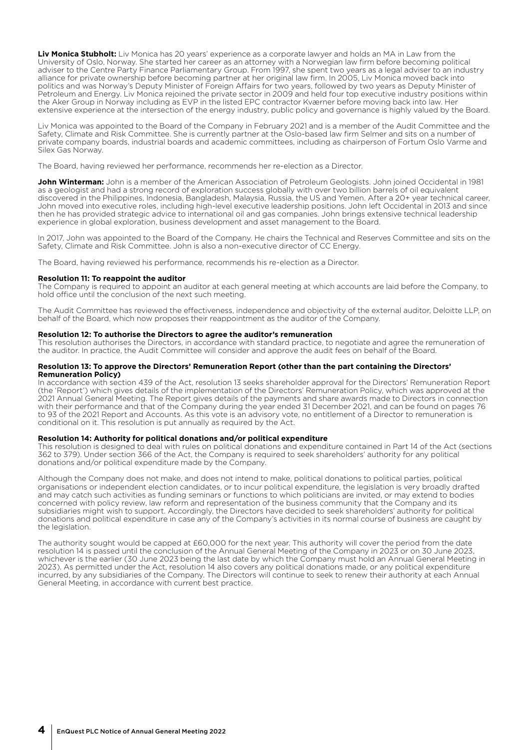**Liv Monica Stubholt:** Liv Monica has 20 years' experience as a corporate lawyer and holds an MA in Law from the University of Oslo, Norway. She started her career as an attorney with a Norwegian law firm before becoming political adviser to the Centre Party Finance Parliamentary Group. From 1997, she spent two years as a legal adviser to an industry alliance for private ownership before becoming partner at her original law firm. In 2005, Liv Monica moved back into politics and was Norway's Deputy Minister of Foreign Affairs for two years, followed by two years as Deputy Minister of Petroleum and Energy. Liv Monica rejoined the private sector in 2009 and held four top executive industry positions within the Aker Group in Norway including as EVP in the listed EPC contractor Kværner before moving back into law. Her extensive experience at the intersection of the energy industry, public policy and governance is highly valued by the Board.

Liv Monica was appointed to the Board of the Company in February 2021 and is a member of the Audit Committee and the Safety, Climate and Risk Committee. She is currently partner at the Oslo-based law firm Selmer and sits on a number of private company boards, industrial boards and academic committees, including as chairperson of Fortum Oslo Varme and Silex Gas Norway.

The Board, having reviewed her performance, recommends her re-election as a Director.

**John Winterman:** John is a member of the American Association of Petroleum Geologists. John joined Occidental in 1981 as a geologist and had a strong record of exploration success globally with over two billion barrels of oil equivalent discovered in the Philippines, Indonesia, Bangladesh, Malaysia, Russia, the US and Yemen. After a 20+ year technical career, John moved into executive roles, including high-level executive leadership positions. John left Occidental in 2013 and since then he has provided strategic advice to international oil and gas companies. John brings extensive technical leadership experience in global exploration, business development and asset management to the Board.

In 2017, John was appointed to the Board of the Company. He chairs the Technical and Reserves Committee and sits on the Safety, Climate and Risk Committee. John is also a non-executive director of CC Energy.

The Board, having reviewed his performance, recommends his re-election as a Director.

#### **Resolution 11: To reappoint the auditor**

The Company is required to appoint an auditor at each general meeting at which accounts are laid before the Company, to hold office until the conclusion of the next such meeting.

The Audit Committee has reviewed the effectiveness, independence and objectivity of the external auditor, Deloitte LLP, on behalf of the Board, which now proposes their reappointment as the auditor of the Company.

#### **Resolution 12: To authorise the Directors to agree the auditor's remuneration**

This resolution authorises the Directors, in accordance with standard practice, to negotiate and agree the remuneration of the auditor. In practice, the Audit Committee will consider and approve the audit fees on behalf of the Board.

#### **Resolution 13: To approve the Directors' Remuneration Report (other than the part containing the Directors' Remuneration Policy)**

In accordance with section 439 of the Act, resolution 13 seeks shareholder approval for the Directors' Remuneration Report (the 'Report') which gives details of the implementation of the Directors' Remuneration Policy, which was approved at the 2021 Annual General Meeting. The Report gives details of the payments and share awards made to Directors in connection with their performance and that of the Company during the year ended 31 December 2021, and can be found on pages 76 to 93 of the 2021 Report and Accounts. As this vote is an advisory vote, no entitlement of a Director to remuneration is conditional on it. This resolution is put annually as required by the Act.

#### **Resolution 14: Authority for political donations and/or political expenditure**

This resolution is designed to deal with rules on political donations and expenditure contained in Part 14 of the Act (sections 362 to 379). Under section 366 of the Act, the Company is required to seek shareholders' authority for any political donations and/or political expenditure made by the Company.

Although the Company does not make, and does not intend to make, political donations to political parties, political organisations or independent election candidates, or to incur political expenditure, the legislation is very broadly drafted and may catch such activities as funding seminars or functions to which politicians are invited, or may extend to bodies concerned with policy review, law reform and representation of the business community that the Company and its subsidiaries might wish to support. Accordingly, the Directors have decided to seek shareholders' authority for political donations and political expenditure in case any of the Company's activities in its normal course of business are caught by the legislation.

The authority sought would be capped at £60,000 for the next year. This authority will cover the period from the date resolution 14 is passed until the conclusion of the Annual General Meeting of the Company in 2023 or on 30 June 2023, whichever is the earlier (30 June 2023 being the last date by which the Company must hold an Annual General Meeting in 2023). As permitted under the Act, resolution 14 also covers any political donations made, or any political expenditure incurred, by any subsidiaries of the Company. The Directors will continue to seek to renew their authority at each Annual General Meeting, in accordance with current best practice.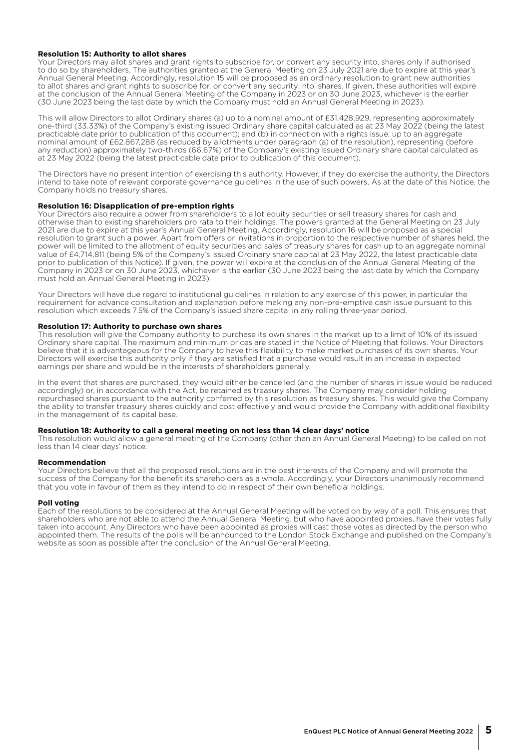#### **Resolution 15: Authority to allot shares**

Your Directors may allot shares and grant rights to subscribe for, or convert any security into, shares only if authorised to do so by shareholders. The authorities granted at the General Meeting on 23 July 2021 are due to expire at this year's Annual General Meeting. Accordingly, resolution 15 will be proposed as an ordinary resolution to grant new authorities to allot shares and grant rights to subscribe for, or convert any security into, shares. If given, these authorities will expire at the conclusion of the Annual General Meeting of the Company in 2023 or on 30 June 2023, whichever is the earlier (30 June 2023 being the last date by which the Company must hold an Annual General Meeting in 2023).

This will allow Directors to allot Ordinary shares (a) up to a nominal amount of £31,428,929, representing approximately one-third (33.33%) of the Company's existing issued Ordinary share capital calculated as at 23 May 2022 (being the latest practicable date prior to publication of this document); and (b) in connection with a rights issue, up to an aggregate nominal amount of £62,867,288 (as reduced by allotments under paragraph (a) of the resolution), representing (before any reduction) approximately two-thirds (66.67%) of the Company's existing issued Ordinary share capital calculated as at 23 May 2022 (being the latest practicable date prior to publication of this document).

The Directors have no present intention of exercising this authority. However, if they do exercise the authority, the Directors intend to take note of relevant corporate governance guidelines in the use of such powers. As at the date of this Notice, the Company holds no treasury shares.

#### **Resolution 16: Disapplication of pre-emption rights**

Your Directors also require a power from shareholders to allot equity securities or sell treasury shares for cash and otherwise than to existing shareholders pro rata to their holdings. The powers granted at the General Meeting on 23 July 2021 are due to expire at this year's Annual General Meeting. Accordingly, resolution 16 will be proposed as a special resolution to grant such a power. Apart from offers or invitations in proportion to the respective number of shares held, the power will be limited to the allotment of equity securities and sales of treasury shares for cash up to an aggregate nominal value of £4,714,811 (being 5% of the Company's issued Ordinary share capital at 23 May 2022, the latest practicable date prior to publication of this Notice). If given, the power will expire at the conclusion of the Annual General Meeting of the Company in 2023 or on 30 June 2023, whichever is the earlier (30 June 2023 being the last date by which the Company must hold an Annual General Meeting in 2023).

Your Directors will have due regard to institutional guidelines in relation to any exercise of this power, in particular the requirement for advance consultation and explanation before making any non-pre-emptive cash issue pursuant to this resolution which exceeds 7.5% of the Company's issued share capital in any rolling three-year period.

#### **Resolution 17: Authority to purchase own shares**

This resolution will give the Company authority to purchase its own shares in the market up to a limit of 10% of its issued Ordinary share capital. The maximum and minimum prices are stated in the Notice of Meeting that follows. Your Directors believe that it is advantageous for the Company to have this flexibility to make market purchases of its own shares. Your Directors will exercise this authority only if they are satisfied that a purchase would result in an increase in expected earnings per share and would be in the interests of shareholders generally.

In the event that shares are purchased, they would either be cancelled (and the number of shares in issue would be reduced accordingly) or, in accordance with the Act, be retained as treasury shares. The Company may consider holding repurchased shares pursuant to the authority conferred by this resolution as treasury shares. This would give the Company the ability to transfer treasury shares quickly and cost effectively and would provide the Company with additional flexibility in the management of its capital base.

#### **Resolution 18: Authority to call a general meeting on not less than 14 clear days' notice**

This resolution would allow a general meeting of the Company (other than an Annual General Meeting) to be called on not less than 14 clear days' notice.

#### **Recommendation**

Your Directors believe that all the proposed resolutions are in the best interests of the Company and will promote the success of the Company for the benefit its shareholders as a whole. Accordingly, your Directors unanimously recommend that you vote in favour of them as they intend to do in respect of their own beneficial holdings.

#### **Poll voting**

Each of the resolutions to be considered at the Annual General Meeting will be voted on by way of a poll. This ensures that shareholders who are not able to attend the Annual General Meeting, but who have appointed proxies, have their votes fully taken into account. Any Directors who have been appointed as proxies will cast those votes as directed by the person who appointed them. The results of the polls will be announced to the London Stock Exchange and published on the Company's website as soon as possible after the conclusion of the Annual General Meeting.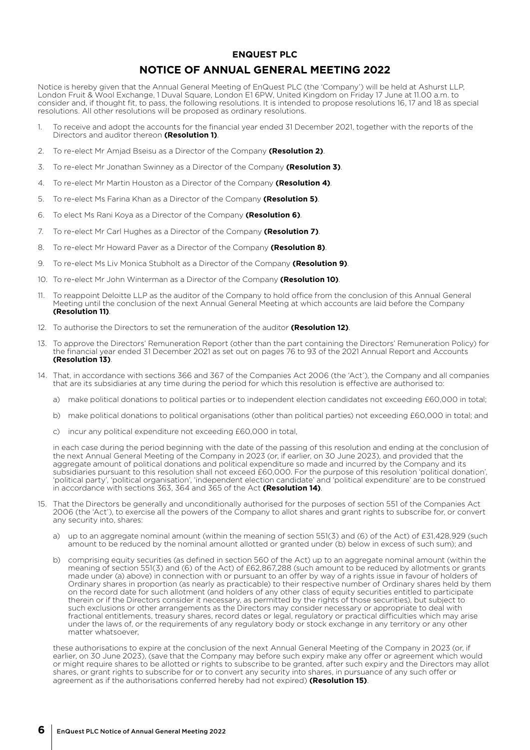## **ENQUEST PLC NOTICE OF ANNUAL GENERAL MEETING 2022**

Notice is hereby given that the Annual General Meeting of EnQuest PLC (the 'Company') will be held at Ashurst LLP, London Fruit & Wool Exchange, 1 Duval Square, London E1 6PW, United Kingdom on Friday 17 June at 11.00 a.m. to consider and, if thought fit, to pass, the following resolutions. It is intended to propose resolutions 16, 17 and 18 as special resolutions. All other resolutions will be proposed as ordinary resolutions.

- 1. To receive and adopt the accounts for the financial year ended 31 December 2021, together with the reports of the Directors and auditor thereon **(Resolution 1)**.
- 2. To re-elect Mr Amjad Bseisu as a Director of the Company **(Resolution 2)**.
- 3. To re-elect Mr Jonathan Swinney as a Director of the Company **(Resolution 3)**.
- 4. To re-elect Mr Martin Houston as a Director of the Company **(Resolution 4)**.
- 5. To re-elect Ms Farina Khan as a Director of the Company **(Resolution 5)**.
- 6. To elect Ms Rani Koya as a Director of the Company **(Resolution 6)**.
- 7. To re-elect Mr Carl Hughes as a Director of the Company **(Resolution 7)**.
- 8. To re-elect Mr Howard Paver as a Director of the Company **(Resolution 8)**.
- 9. To re-elect Ms Liv Monica Stubholt as a Director of the Company **(Resolution 9)**.
- 10. To re-elect Mr John Winterman as a Director of the Company **(Resolution 10)**.
- 11. To reappoint Deloitte LLP as the auditor of the Company to hold office from the conclusion of this Annual General Meeting until the conclusion of the next Annual General Meeting at which accounts are laid before the Company **(Resolution 11)**.
- 12. To authorise the Directors to set the remuneration of the auditor **(Resolution 12)**.
- 13. To approve the Directors' Remuneration Report (other than the part containing the Directors' Remuneration Policy) for the financial year ended 31 December 2021 as set out on pages 76 to 93 of the 2021 Annual Report and Accounts **(Resolution 13)**.
- 14. That, in accordance with sections 366 and 367 of the Companies Act 2006 (the 'Act'), the Company and all companies that are its subsidiaries at any time during the period for which this resolution is effective are authorised to:
	- a) make political donations to political parties or to independent election candidates not exceeding £60,000 in total;
	- b) make political donations to political organisations (other than political parties) not exceeding £60,000 in total; and
	- c) incur any political expenditure not exceeding £60,000 in total,

in each case during the period beginning with the date of the passing of this resolution and ending at the conclusion of the next Annual General Meeting of the Company in 2023 (or, if earlier, on 30 June 2023), and provided that the aggregate amount of political donations and political expenditure so made and incurred by the Company and its subsidiaries pursuant to this resolution shall not exceed £60,000. For the purpose of this resolution 'political donation', 'political party', 'political organisation', 'independent election candidate' and 'political expenditure' are to be construed in accordance with sections 363, 364 and 365 of the Act **(Resolution 14)**.

- 15. That the Directors be generally and unconditionally authorised for the purposes of section 551 of the Companies Act 2006 (the 'Act'), to exercise all the powers of the Company to allot shares and grant rights to subscribe for, or convert any security into, shares:
	- a) up to an aggregate nominal amount (within the meaning of section 551(3) and (6) of the Act) of £31,428,929 (such amount to be reduced by the nominal amount allotted or granted under (b) below in excess of such sum); and
	- b) comprising equity securities (as defined in section 560 of the Act) up to an aggregate nominal amount (within the meaning of section 551(3) and (6) of the Act) of £62,867,288 (such amount to be reduced by allotments or grants made under (a) above) in connection with or pursuant to an offer by way of a rights issue in favour of holders of Ordinary shares in proportion (as nearly as practicable) to their respective number of Ordinary shares held by them on the record date for such allotment (and holders of any other class of equity securities entitled to participate therein or if the Directors consider it necessary, as permitted by the rights of those securities), but subject to such exclusions or other arrangements as the Directors may consider necessary or appropriate to deal with fractional entitlements, treasury shares, record dates or legal, regulatory or practical difficulties which may arise under the laws of, or the requirements of any regulatory body or stock exchange in any territory or any other matter whatsoever,

these authorisations to expire at the conclusion of the next Annual General Meeting of the Company in 2023 (or, if earlier, on 30 June 2023), (save that the Company may before such expiry make any offer or agreement which would or might require shares to be allotted or rights to subscribe to be granted, after such expiry and the Directors may allot shares, or grant rights to subscribe for or to convert any security into shares, in pursuance of any such offer or agreement as if the authorisations conferred hereby had not expired) **(Resolution 15)**.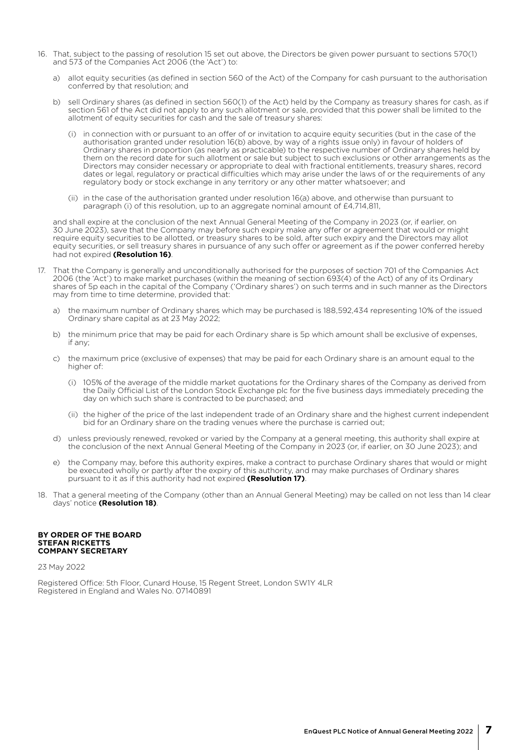- 16. That, subject to the passing of resolution 15 set out above, the Directors be given power pursuant to sections 570(1) and 573 of the Companies Act 2006 (the 'Act') to:
	- a) allot equity securities (as defined in section 560 of the Act) of the Company for cash pursuant to the authorisation conferred by that resolution; and
	- b) sell Ordinary shares (as defined in section 560(1) of the Act) held by the Company as treasury shares for cash, as if section 561 of the Act did not apply to any such allotment or sale, provided that this power shall be limited to the allotment of equity securities for cash and the sale of treasury shares:
		- (i) in connection with or pursuant to an offer of or invitation to acquire equity securities (but in the case of the authorisation granted under resolution 16(b) above, by way of a rights issue only) in favour of holders of Ordinary shares in proportion (as nearly as practicable) to the respective number of Ordinary shares held by them on the record date for such allotment or sale but subject to such exclusions or other arrangements as the Directors may consider necessary or appropriate to deal with fractional entitlements, treasury shares, record dates or legal, regulatory or practical difficulties which may arise under the laws of or the requirements of any regulatory body or stock exchange in any territory or any other matter whatsoever; and
		- (ii) in the case of the authorisation granted under resolution 16(a) above, and otherwise than pursuant to paragraph (i) of this resolution, up to an aggregate nominal amount of £4,714,811,

and shall expire at the conclusion of the next Annual General Meeting of the Company in 2023 (or, if earlier, on 30 June 2023), save that the Company may before such expiry make any offer or agreement that would or might require equity securities to be allotted, or treasury shares to be sold, after such expiry and the Directors may allot equity securities, or sell treasury shares in pursuance of any such offer or agreement as if the power conferred hereby had not expired **(Resolution 16)**.

- 17. That the Company is generally and unconditionally authorised for the purposes of section 701 of the Companies Act 2006 (the 'Act') to make market purchases (within the meaning of section 693(4) of the Act) of any of its Ordinary shares of 5p each in the capital of the Company ('Ordinary shares') on such terms and in such manner as the Directors may from time to time determine, provided that:
	- a) the maximum number of Ordinary shares which may be purchased is 188,592,434 representing 10% of the issued Ordinary share capital as at 23 May 2022;
	- b) the minimum price that may be paid for each Ordinary share is 5p which amount shall be exclusive of expenses, if any;
	- c) the maximum price (exclusive of expenses) that may be paid for each Ordinary share is an amount equal to the higher of:
		- (i) 105% of the average of the middle market quotations for the Ordinary shares of the Company as derived from the Daily Official List of the London Stock Exchange plc for the five business days immediately preceding the day on which such share is contracted to be purchased; and
		- (ii) the higher of the price of the last independent trade of an Ordinary share and the highest current independent bid for an Ordinary share on the trading venues where the purchase is carried out;
	- d) unless previously renewed, revoked or varied by the Company at a general meeting, this authority shall expire at the conclusion of the next Annual General Meeting of the Company in 2023 (or, if earlier, on 30 June 2023); and
	- e) the Company may, before this authority expires, make a contract to purchase Ordinary shares that would or might be executed wholly or partly after the expiry of this authority, and may make purchases of Ordinary shares pursuant to it as if this authority had not expired **(Resolution 17)**.
- 18. That a general meeting of the Company (other than an Annual General Meeting) may be called on not less than 14 clear days' notice **(Resolution 18)**.

#### **BY ORDER OF THE BOARD STEFAN RICKETTS COMPANY SECRETARY**

23 May 2022

Registered Office: 5th Floor, Cunard House, 15 Regent Street, London SW1Y 4LR Registered in England and Wales No. 07140891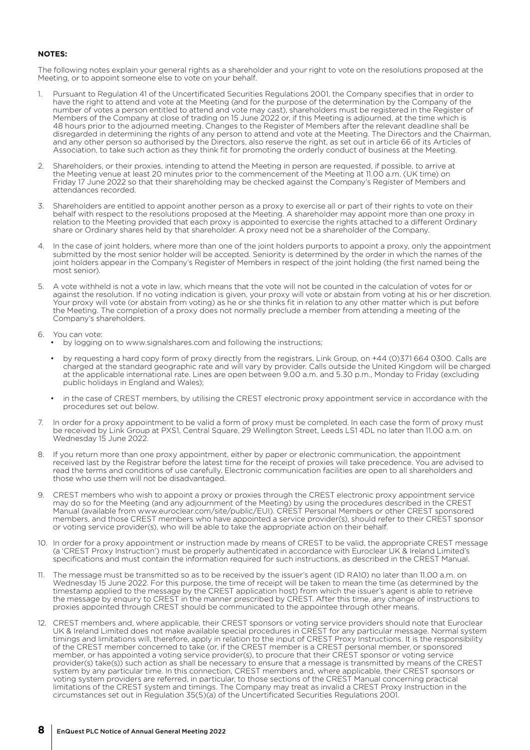### **NOTES:**

The following notes explain your general rights as a shareholder and your right to vote on the resolutions proposed at the Meeting, or to appoint someone else to vote on your behalf.

- Pursuant to Regulation 41 of the Uncertificated Securities Regulations 2001, the Company specifies that in order to have the right to attend and vote at the Meeting (and for the purpose of the determination by the Company of the number of votes a person entitled to attend and vote may cast), shareholders must be registered in the Register of Members of the Company at close of trading on 15 June 2022 or, if this Meeting is adjourned, at the time which is 48 hours prior to the adjourned meeting. Changes to the Register of Members after the relevant deadline shall be disregarded in determining the rights of any person to attend and vote at the Meeting. The Directors and the Chairman, and any other person so authorised by the Directors, also reserve the right, as set out in article 66 of its Articles of Association, to take such action as they think fit for promoting the orderly conduct of business at the Meeting.
- 2. Shareholders, or their proxies, intending to attend the Meeting in person are requested, if possible, to arrive at the Meeting venue at least 20 minutes prior to the commencement of the Meeting at 11.00 a.m. (UK time) on Friday 17 June 2022 so that their shareholding may be checked against the Company's Register of Members and attendances recorded.
- 3. Shareholders are entitled to appoint another person as a proxy to exercise all or part of their rights to vote on their behalf with respect to the resolutions proposed at the Meeting. A shareholder may appoint more than one proxy in relation to the Meeting provided that each proxy is appointed to exercise the rights attached to a different Ordinary share or Ordinary shares held by that shareholder. A proxy need not be a shareholder of the Company.
- 4. In the case of joint holders, where more than one of the joint holders purports to appoint a proxy, only the appointment submitted by the most senior holder will be accepted. Seniority is determined by the order in which the names of the joint holders appear in the Company's Register of Members in respect of the joint holding (the first named being the most senior).
- 5. A vote withheld is not a vote in law, which means that the vote will not be counted in the calculation of votes for or against the resolution. If no voting indication is given, your proxy will vote or abstain from voting at his or her discretion. Your proxy will vote (or abstain from voting) as he or she thinks fit in relation to any other matter which is put before the Meeting. The completion of a proxy does not normally preclude a member from attending a meeting of the Company's shareholders.

#### 6. You can vote:

- by logging on to www.signalshares.com and following the instructions;
- by requesting a hard copy form of proxy directly from the registrars, Link Group, on +44 (0)371 664 0300. Calls are charged at the standard geographic rate and will vary by provider. Calls outside the United Kingdom will be charged at the applicable international rate. Lines are open between 9.00 a.m. and 5.30 p.m., Monday to Friday (excluding public holidays in England and Wales);
- in the case of CREST members, by utilising the CREST electronic proxy appointment service in accordance with the procedures set out below.
- 7. In order for a proxy appointment to be valid a form of proxy must be completed. In each case the form of proxy must be received by Link Group at PXS1, Central Square, 29 Wellington Street, Leeds LS1 4DL no later than 11.00 a.m. on Wednesday 15 June 2022.
- If you return more than one proxy appointment, either by paper or electronic communication, the appointment received last by the Registrar before the latest time for the receipt of proxies will take precedence. You are advised to read the terms and conditions of use carefully. Electronic communication facilities are open to all shareholders and those who use them will not be disadvantaged.
- 9. CREST members who wish to appoint a proxy or proxies through the CREST electronic proxy appointment service may do so for the Meeting (and any adjournment of the Meeting) by using the procedures described in the CREST Manual (available from www.euroclear.com/site/public/EUI). CREST Personal Members or other CREST sponsored members, and those CREST members who have appointed a service provider(s), should refer to their CREST sponsor or voting service provider(s), who will be able to take the appropriate action on their behalf.
- 10. In order for a proxy appointment or instruction made by means of CREST to be valid, the appropriate CREST message (a 'CREST Proxy Instruction') must be properly authenticated in accordance with Euroclear UK & Ireland Limited's specifications and must contain the information required for such instructions, as described in the CREST Manual.
- 11. The message must be transmitted so as to be received by the issuer's agent (ID RA10) no later than 11.00 a.m. on Wednesday 15 June 2022. For this purpose, the time of receipt will be taken to mean the time (as determined by the timestamp applied to the message by the CREST application host) from which the issuer's agent is able to retrieve the message by enquiry to CREST in the manner prescribed by CREST. After this time, any change of instructions to proxies appointed through CREST should be communicated to the appointee through other means.
- 12. CREST members and, where applicable, their CREST sponsors or voting service providers should note that Euroclear UK & Ireland Limited does not make available special procedures in CREST for any particular message. Normal system timings and limitations will, therefore, apply in relation to the input of CREST Proxy Instructions. It is the responsibility of the CREST member concerned to take (or, if the CREST member is a CREST personal member, or sponsored member, or has appointed a voting service provider(s), to procure that their CREST sponsor or voting service provider(s) take(s)) such action as shall be necessary to ensure that a message is transmitted by means of the CREST system by any particular time. In this connection, CREST members and, where applicable, their CREST sponsors or voting system providers are referred, in particular, to those sections of the CREST Manual concerning practical limitations of the CREST system and timings. The Company may treat as invalid a CREST Proxy Instruction in the circumstances set out in Regulation 35(5)(a) of the Uncertificated Securities Regulations 2001.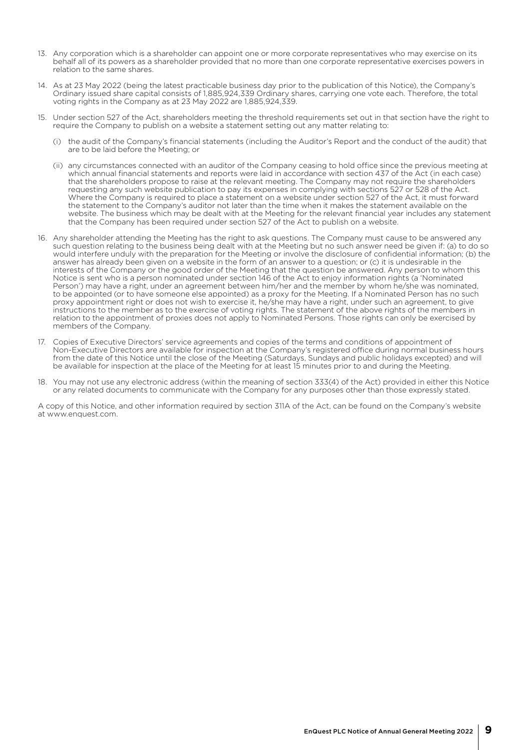- 13. Any corporation which is a shareholder can appoint one or more corporate representatives who may exercise on its behalf all of its powers as a shareholder provided that no more than one corporate representative exercises powers in relation to the same shares.
- 14. As at 23 May 2022 (being the latest practicable business day prior to the publication of this Notice), the Company's Ordinary issued share capital consists of 1,885,924,339 Ordinary shares, carrying one vote each. Therefore, the total voting rights in the Company as at 23 May 2022 are 1,885,924,339.
- 15. Under section 527 of the Act, shareholders meeting the threshold requirements set out in that section have the right to require the Company to publish on a website a statement setting out any matter relating to:
	- (i) the audit of the Company's financial statements (including the Auditor's Report and the conduct of the audit) that are to be laid before the Meeting; or
	- (ii) any circumstances connected with an auditor of the Company ceasing to hold office since the previous meeting at which annual financial statements and reports were laid in accordance with section 437 of the Act (in each case) that the shareholders propose to raise at the relevant meeting. The Company may not require the shareholders requesting any such website publication to pay its expenses in complying with sections 527 or 528 of the Act. Where the Company is required to place a statement on a website under section 527 of the Act, it must forward the statement to the Company's auditor not later than the time when it makes the statement available on the website. The business which may be dealt with at the Meeting for the relevant financial year includes any statement that the Company has been required under section 527 of the Act to publish on a website.
- 16. Any shareholder attending the Meeting has the right to ask questions. The Company must cause to be answered any such question relating to the business being dealt with at the Meeting but no such answer need be given if: (a) to do so would interfere unduly with the preparation for the Meeting or involve the disclosure of confidential information; (b) the answer has already been given on a website in the form of an answer to a question; or (c) it is undesirable in the interests of the Company or the good order of the Meeting that the question be answered. Any person to whom this Notice is sent who is a person nominated under section 146 of the Act to enjoy information rights (a 'Nominated Person') may have a right, under an agreement between him/her and the member by whom he/she was nominated, to be appointed (or to have someone else appointed) as a proxy for the Meeting. If a Nominated Person has no such proxy appointment right or does not wish to exercise it, he/she may have a right, under such an agreement, to give instructions to the member as to the exercise of voting rights. The statement of the above rights of the members in relation to the appointment of proxies does not apply to Nominated Persons. Those rights can only be exercised by members of the Company.
- 17. Copies of Executive Directors' service agreements and copies of the terms and conditions of appointment of Non-Executive Directors are available for inspection at the Company's registered office during normal business hours from the date of this Notice until the close of the Meeting (Saturdays, Sundays and public holidays excepted) and will be available for inspection at the place of the Meeting for at least 15 minutes prior to and during the Meeting.
- 18. You may not use any electronic address (within the meaning of section 333(4) of the Act) provided in either this Notice or any related documents to communicate with the Company for any purposes other than those expressly stated.

A copy of this Notice, and other information required by section 311A of the Act, can be found on the Company's website at www.enquest.com.